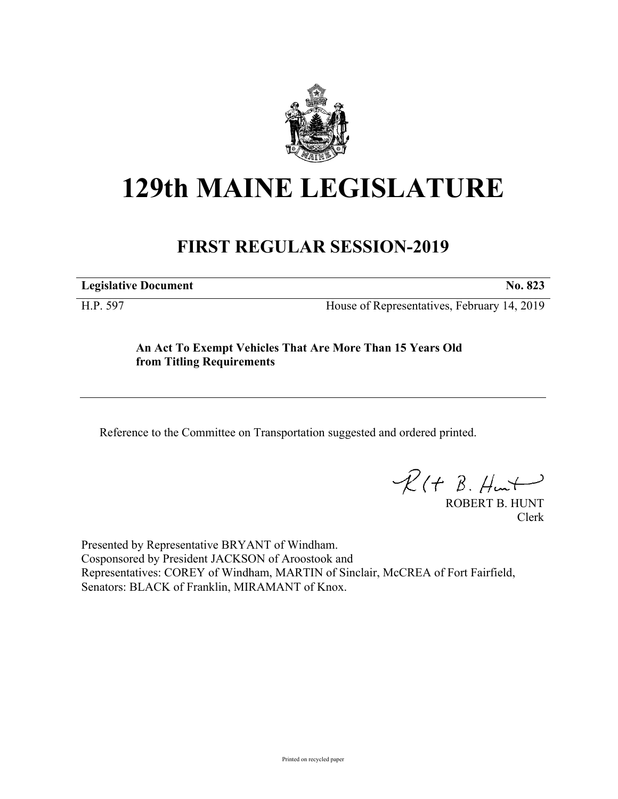

## **129th MAINE LEGISLATURE**

## **FIRST REGULAR SESSION-2019**

**Legislative Document No. 823**

H.P. 597 House of Representatives, February 14, 2019

## **An Act To Exempt Vehicles That Are More Than 15 Years Old from Titling Requirements**

Reference to the Committee on Transportation suggested and ordered printed.

 $R(t B. Hmt)$ 

ROBERT B. HUNT Clerk

Presented by Representative BRYANT of Windham. Cosponsored by President JACKSON of Aroostook and Representatives: COREY of Windham, MARTIN of Sinclair, McCREA of Fort Fairfield, Senators: BLACK of Franklin, MIRAMANT of Knox.